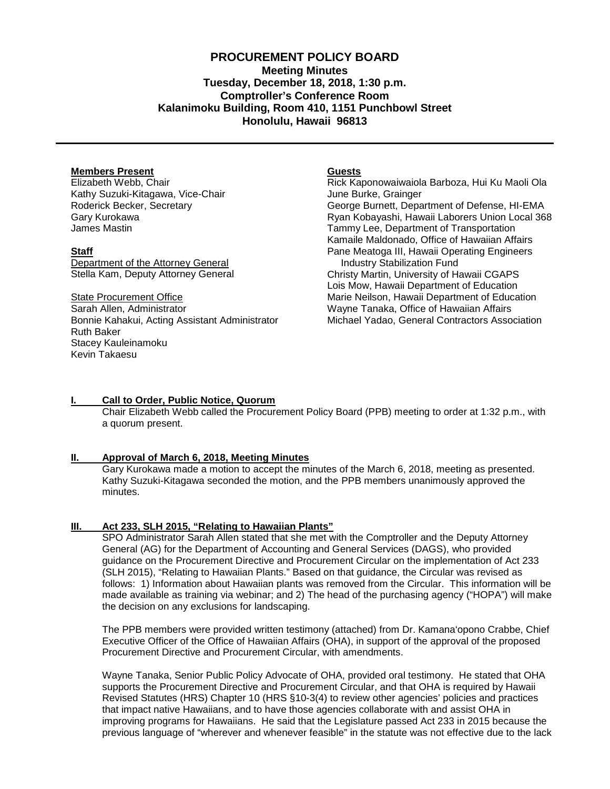## **PROCUREMENT POLICY BOARD Meeting Minutes Tuesday, December 18, 2018, 1:30 p.m. Comptroller's Conference Room Kalanimoku Building, Room 410, 1151 Punchbowl Street Honolulu, Hawaii 96813**

#### **Members Present**

Elizabeth Webb, Chair Kathy Suzuki-Kitagawa, Vice-Chair Roderick Becker, Secretary Gary Kurokawa James Mastin

#### **Staff**

Department of the Attorney General Stella Kam, Deputy Attorney General

State Procurement Office Sarah Allen, Administrator Bonnie Kahakui, Acting Assistant Administrator Ruth Baker Stacey Kauleinamoku Kevin Takaesu

#### **Guests**

Rick Kaponowaiwaiola Barboza, Hui Ku Maoli Ola June Burke, Grainger George Burnett, Department of Defense, HI-EMA Ryan Kobayashi, Hawaii Laborers Union Local 368 Tammy Lee, Department of Transportation Kamaile Maldonado, Office of Hawaiian Affairs Pane Meatoga III, Hawaii Operating Engineers Industry Stabilization Fund Christy Martin, University of Hawaii CGAPS Lois Mow, Hawaii Department of Education Marie Neilson, Hawaii Department of Education Wayne Tanaka, Office of Hawaiian Affairs Michael Yadao, General Contractors Association

#### **I. Call to Order, Public Notice, Quorum**

Chair Elizabeth Webb called the Procurement Policy Board (PPB) meeting to order at 1:32 p.m., with a quorum present.

#### **II. Approval of March 6, 2018, [Meeting Minutes](http://spo.hawaii.gov/wp-content/uploads/2014/10/2014_0929-PROCUREMENT-POLICY-BOARD-minutes-DRAFT.pdf)**

Gary Kurokawa made a motion to accept the minutes of the March 6, 2018, meeting as presented. Kathy Suzuki-Kitagawa seconded the motion, and the PPB members unanimously approved the minutes.

## **III. Act 233, SLH 2015, "Relating to Hawaiian Plants"**

SPO Administrator Sarah Allen stated that she met with the Comptroller and the Deputy Attorney General (AG) for the Department of Accounting and General Services (DAGS), who provided guidance on the Procurement Directive and Procurement Circular on the implementation of Act 233 (SLH 2015), "Relating to Hawaiian Plants." Based on that guidance, the Circular was revised as follows: 1) Information about Hawaiian plants was removed from the Circular. This information will be made available as training via webinar; and 2) The head of the purchasing agency ("HOPA") will make the decision on any exclusions for landscaping.

The PPB members were provided written testimony (attached) from Dr. Kamana'opono Crabbe, Chief Executive Officer of the Office of Hawaiian Affairs (OHA), in support of the approval of the proposed Procurement Directive and Procurement Circular, with amendments.

Wayne Tanaka, Senior Public Policy Advocate of OHA, provided oral testimony. He stated that OHA supports the Procurement Directive and Procurement Circular, and that OHA is required by Hawaii Revised Statutes (HRS) Chapter 10 (HRS §10-3(4) to review other agencies' policies and practices that impact native Hawaiians, and to have those agencies collaborate with and assist OHA in improving programs for Hawaiians. He said that the Legislature passed Act 233 in 2015 because the previous language of "wherever and whenever feasible" in the statute was not effective due to the lack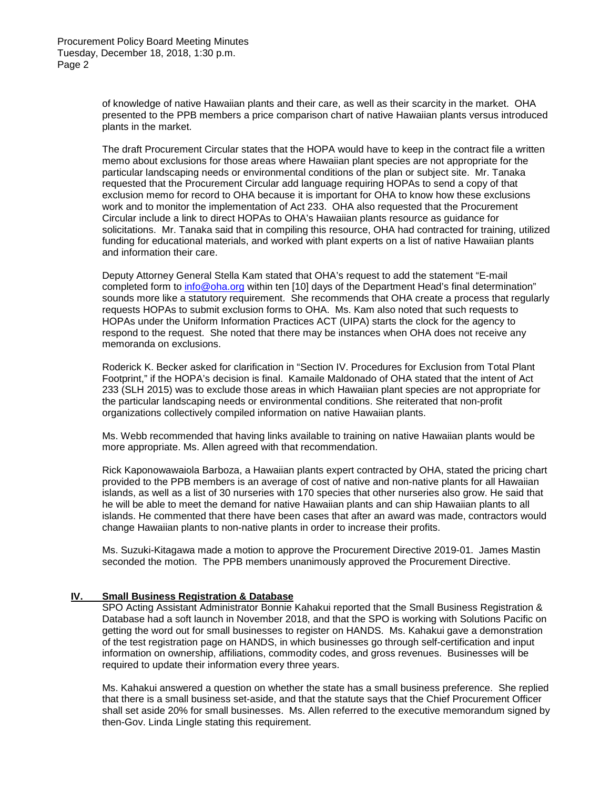of knowledge of native Hawaiian plants and their care, as well as their scarcity in the market. OHA presented to the PPB members a price comparison chart of native Hawaiian plants versus introduced plants in the market.

The draft Procurement Circular states that the HOPA would have to keep in the contract file a written memo about exclusions for those areas where Hawaiian plant species are not appropriate for the particular landscaping needs or environmental conditions of the plan or subject site. Mr. Tanaka requested that the Procurement Circular add language requiring HOPAs to send a copy of that exclusion memo for record to OHA because it is important for OHA to know how these exclusions work and to monitor the implementation of Act 233. OHA also requested that the Procurement Circular include a link to direct HOPAs to OHA's Hawaiian plants resource as guidance for solicitations. Mr. Tanaka said that in compiling this resource, OHA had contracted for training, utilized funding for educational materials, and worked with plant experts on a list of native Hawaiian plants and information their care.

Deputy Attorney General Stella Kam stated that OHA's request to add the statement "E-mail completed form to [info@oha.org](mailto:info@oha.org) within ten [10] days of the Department Head's final determination" sounds more like a statutory requirement. She recommends that OHA create a process that regularly requests HOPAs to submit exclusion forms to OHA. Ms. Kam also noted that such requests to HOPAs under the Uniform Information Practices ACT (UIPA) starts the clock for the agency to respond to the request. She noted that there may be instances when OHA does not receive any memoranda on exclusions.

Roderick K. Becker asked for clarification in "Section IV. Procedures for Exclusion from Total Plant Footprint," if the HOPA's decision is final. Kamaile Maldonado of OHA stated that the intent of Act 233 (SLH 2015) was to exclude those areas in which Hawaiian plant species are not appropriate for the particular landscaping needs or environmental conditions. She reiterated that non-profit organizations collectively compiled information on native Hawaiian plants.

Ms. Webb recommended that having links available to training on native Hawaiian plants would be more appropriate. Ms. Allen agreed with that recommendation.

Rick Kaponowawaiola Barboza, a Hawaiian plants expert contracted by OHA, stated the pricing chart provided to the PPB members is an average of cost of native and non-native plants for all Hawaiian islands, as well as a list of 30 nurseries with 170 species that other nurseries also grow. He said that he will be able to meet the demand for native Hawaiian plants and can ship Hawaiian plants to all islands. He commented that there have been cases that after an award was made, contractors would change Hawaiian plants to non-native plants in order to increase their profits.

Ms. Suzuki-Kitagawa made a motion to approve the Procurement Directive 2019-01. James Mastin seconded the motion. The PPB members unanimously approved the Procurement Directive.

#### **IV. Small Business Registration & Database**

SPO Acting Assistant Administrator Bonnie Kahakui reported that the Small Business Registration & Database had a soft launch in November 2018, and that the SPO is working with Solutions Pacific on getting the word out for small businesses to register on HANDS. Ms. Kahakui gave a demonstration of the test registration page on HANDS, in which businesses go through self-certification and input information on ownership, affiliations, commodity codes, and gross revenues. Businesses will be required to update their information every three years.

Ms. Kahakui answered a question on whether the state has a small business preference. She replied that there is a small business set-aside, and that the statute says that the Chief Procurement Officer shall set aside 20% for small businesses. Ms. Allen referred to the executive memorandum signed by then-Gov. Linda Lingle stating this requirement.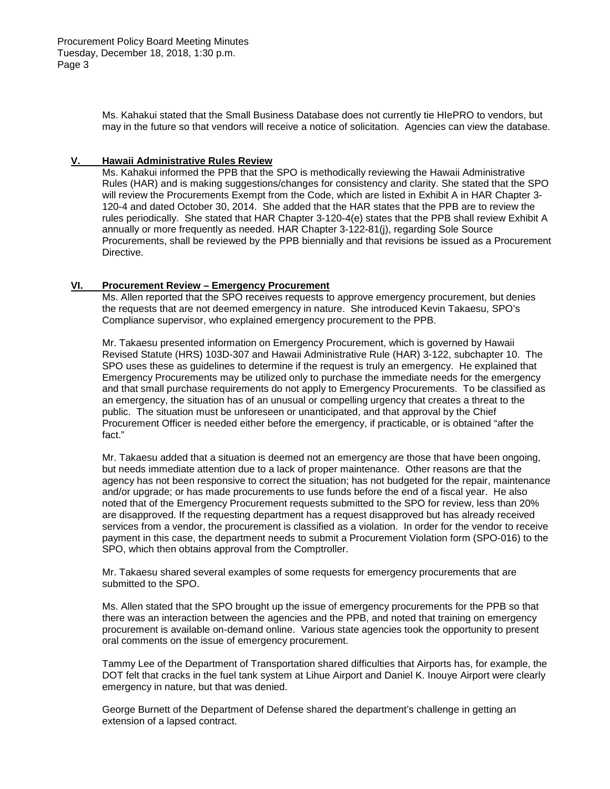Ms. Kahakui stated that the Small Business Database does not currently tie HIePRO to vendors, but may in the future so that vendors will receive a notice of solicitation. Agencies can view the database.

#### **V. Hawaii Administrative Rules Review**

Ms. Kahakui informed the PPB that the SPO is methodically reviewing the Hawaii Administrative Rules (HAR) and is making suggestions/changes for consistency and clarity. She stated that the SPO will review the Procurements Exempt from the Code, which are listed in Exhibit A in HAR Chapter 3- 120-4 and dated October 30, 2014. She added that the HAR states that the PPB are to review the rules periodically. She stated that HAR Chapter 3-120-4(e) states that the PPB shall review Exhibit A annually or more frequently as needed. HAR Chapter 3-122-81(j), regarding Sole Source Procurements, shall be reviewed by the PPB biennially and that revisions be issued as a Procurement Directive.

### **VI. Procurement Review – Emergency Procurement**

Ms. Allen reported that the SPO receives requests to approve emergency procurement, but denies the requests that are not deemed emergency in nature. She introduced Kevin Takaesu, SPO's Compliance supervisor, who explained emergency procurement to the PPB.

Mr. Takaesu presented information on Emergency Procurement, which is governed by Hawaii Revised Statute (HRS) 103D-307 and Hawaii Administrative Rule (HAR) 3-122, subchapter 10. The SPO uses these as guidelines to determine if the request is truly an emergency. He explained that Emergency Procurements may be utilized only to purchase the immediate needs for the emergency and that small purchase requirements do not apply to Emergency Procurements. To be classified as an emergency, the situation has of an unusual or compelling urgency that creates a threat to the public. The situation must be unforeseen or unanticipated, and that approval by the Chief Procurement Officer is needed either before the emergency, if practicable, or is obtained "after the fact."

Mr. Takaesu added that a situation is deemed not an emergency are those that have been ongoing, but needs immediate attention due to a lack of proper maintenance. Other reasons are that the agency has not been responsive to correct the situation; has not budgeted for the repair, maintenance and/or upgrade; or has made procurements to use funds before the end of a fiscal year. He also noted that of the Emergency Procurement requests submitted to the SPO for review, less than 20% are disapproved. If the requesting department has a request disapproved but has already received services from a vendor, the procurement is classified as a violation. In order for the vendor to receive payment in this case, the department needs to submit a Procurement Violation form (SPO-016) to the SPO, which then obtains approval from the Comptroller.

Mr. Takaesu shared several examples of some requests for emergency procurements that are submitted to the SPO.

Ms. Allen stated that the SPO brought up the issue of emergency procurements for the PPB so that there was an interaction between the agencies and the PPB, and noted that training on emergency procurement is available on-demand online. Various state agencies took the opportunity to present oral comments on the issue of emergency procurement.

Tammy Lee of the Department of Transportation shared difficulties that Airports has, for example, the DOT felt that cracks in the fuel tank system at Lihue Airport and Daniel K. Inouye Airport were clearly emergency in nature, but that was denied.

George Burnett of the Department of Defense shared the department's challenge in getting an extension of a lapsed contract.